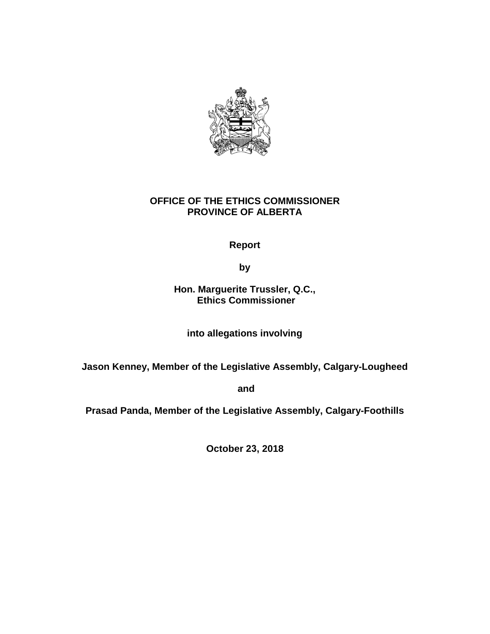

# **OFFICE OF THE ETHICS COMMISSIONER PROVINCE OF ALBERTA**

# **Report**

**by**

### **Hon. Marguerite Trussler, Q.C., Ethics Commissioner**

**into allegations involving**

**Jason Kenney, Member of the Legislative Assembly, Calgary-Lougheed**

**and** 

**Prasad Panda, Member of the Legislative Assembly, Calgary-Foothills**

**October 23, 2018**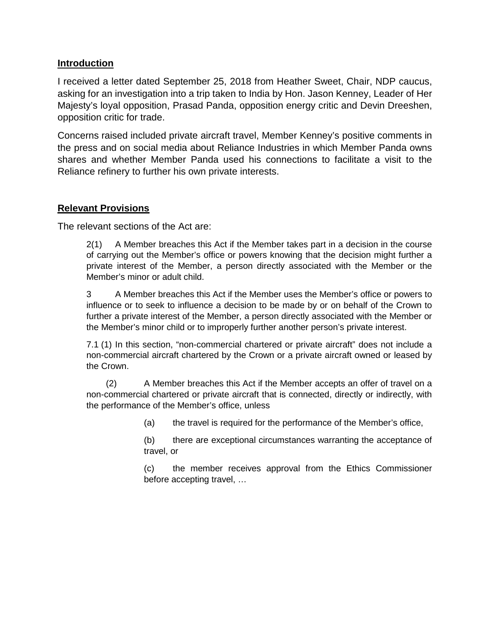#### **Introduction**

I received a letter dated September 25, 2018 from Heather Sweet, Chair, NDP caucus, asking for an investigation into a trip taken to India by Hon. Jason Kenney, Leader of Her Majesty's loyal opposition, Prasad Panda, opposition energy critic and Devin Dreeshen, opposition critic for trade.

Concerns raised included private aircraft travel, Member Kenney's positive comments in the press and on social media about Reliance Industries in which Member Panda owns shares and whether Member Panda used his connections to facilitate a visit to the Reliance refinery to further his own private interests.

#### **Relevant Provisions**

The relevant sections of the Act are:

2(1) A Member breaches this Act if the Member takes part in a decision in the course of carrying out the Member's office or powers knowing that the decision might further a private interest of the Member, a person directly associated with the Member or the Member's minor or adult child.

3 A Member breaches this Act if the Member uses the Member's office or powers to influence or to seek to influence a decision to be made by or on behalf of the Crown to further a private interest of the Member, a person directly associated with the Member or the Member's minor child or to improperly further another person's private interest.

7.1 (1) In this section, "non-commercial chartered or private aircraft" does not include a non-commercial aircraft chartered by the Crown or a private aircraft owned or leased by the Crown.

 (2) A Member breaches this Act if the Member accepts an offer of travel on a non-commercial chartered or private aircraft that is connected, directly or indirectly, with the performance of the Member's office, unless

(a) the travel is required for the performance of the Member's office,

(b) there are exceptional circumstances warranting the acceptance of travel, or

(c) the member receives approval from the Ethics Commissioner before accepting travel, …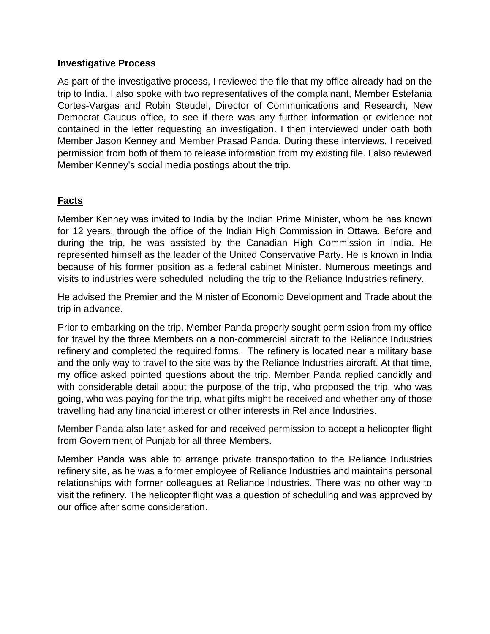### **Investigative Process**

As part of the investigative process, I reviewed the file that my office already had on the trip to India. I also spoke with two representatives of the complainant, Member Estefania Cortes-Vargas and Robin Steudel, Director of Communications and Research, New Democrat Caucus office, to see if there was any further information or evidence not contained in the letter requesting an investigation. I then interviewed under oath both Member Jason Kenney and Member Prasad Panda. During these interviews, I received permission from both of them to release information from my existing file. I also reviewed Member Kenney's social media postings about the trip.

## **Facts**

Member Kenney was invited to India by the Indian Prime Minister, whom he has known for 12 years, through the office of the Indian High Commission in Ottawa. Before and during the trip, he was assisted by the Canadian High Commission in India. He represented himself as the leader of the United Conservative Party. He is known in India because of his former position as a federal cabinet Minister. Numerous meetings and visits to industries were scheduled including the trip to the Reliance Industries refinery.

He advised the Premier and the Minister of Economic Development and Trade about the trip in advance.

Prior to embarking on the trip, Member Panda properly sought permission from my office for travel by the three Members on a non-commercial aircraft to the Reliance Industries refinery and completed the required forms. The refinery is located near a military base and the only way to travel to the site was by the Reliance Industries aircraft. At that time, my office asked pointed questions about the trip. Member Panda replied candidly and with considerable detail about the purpose of the trip, who proposed the trip, who was going, who was paying for the trip, what gifts might be received and whether any of those travelling had any financial interest or other interests in Reliance Industries.

Member Panda also later asked for and received permission to accept a helicopter flight from Government of Punjab for all three Members.

Member Panda was able to arrange private transportation to the Reliance Industries refinery site, as he was a former employee of Reliance Industries and maintains personal relationships with former colleagues at Reliance Industries. There was no other way to visit the refinery. The helicopter flight was a question of scheduling and was approved by our office after some consideration.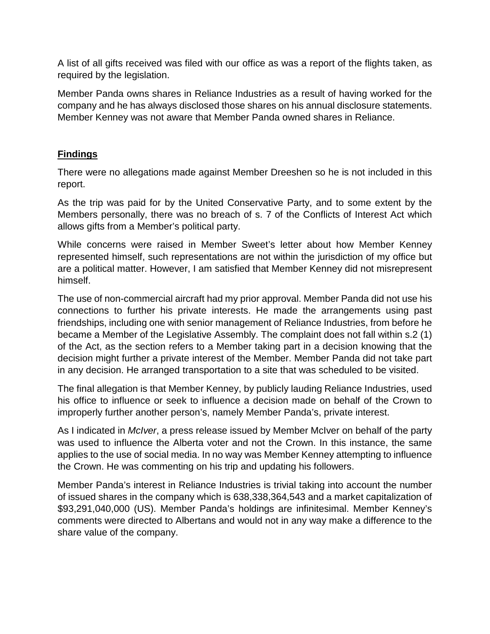A list of all gifts received was filed with our office as was a report of the flights taken, as required by the legislation.

Member Panda owns shares in Reliance Industries as a result of having worked for the company and he has always disclosed those shares on his annual disclosure statements. Member Kenney was not aware that Member Panda owned shares in Reliance.

### **Findings**

There were no allegations made against Member Dreeshen so he is not included in this report.

As the trip was paid for by the United Conservative Party, and to some extent by the Members personally, there was no breach of s. 7 of the Conflicts of Interest Act which allows gifts from a Member's political party.

While concerns were raised in Member Sweet's letter about how Member Kenney represented himself, such representations are not within the jurisdiction of my office but are a political matter. However, I am satisfied that Member Kenney did not misrepresent himself.

The use of non-commercial aircraft had my prior approval. Member Panda did not use his connections to further his private interests. He made the arrangements using past friendships, including one with senior management of Reliance Industries, from before he became a Member of the Legislative Assembly. The complaint does not fall within s.2 (1) of the Act, as the section refers to a Member taking part in a decision knowing that the decision might further a private interest of the Member. Member Panda did not take part in any decision. He arranged transportation to a site that was scheduled to be visited.

The final allegation is that Member Kenney, by publicly lauding Reliance Industries, used his office to influence or seek to influence a decision made on behalf of the Crown to improperly further another person's, namely Member Panda's, private interest.

As I indicated in *McIver*, a press release issued by Member McIver on behalf of the party was used to influence the Alberta voter and not the Crown. In this instance, the same applies to the use of social media. In no way was Member Kenney attempting to influence the Crown. He was commenting on his trip and updating his followers.

Member Panda's interest in Reliance Industries is trivial taking into account the number of issued shares in the company which is 638,338,364,543 and a market capitalization of \$93,291,040,000 (US). Member Panda's holdings are infinitesimal. Member Kenney's comments were directed to Albertans and would not in any way make a difference to the share value of the company.